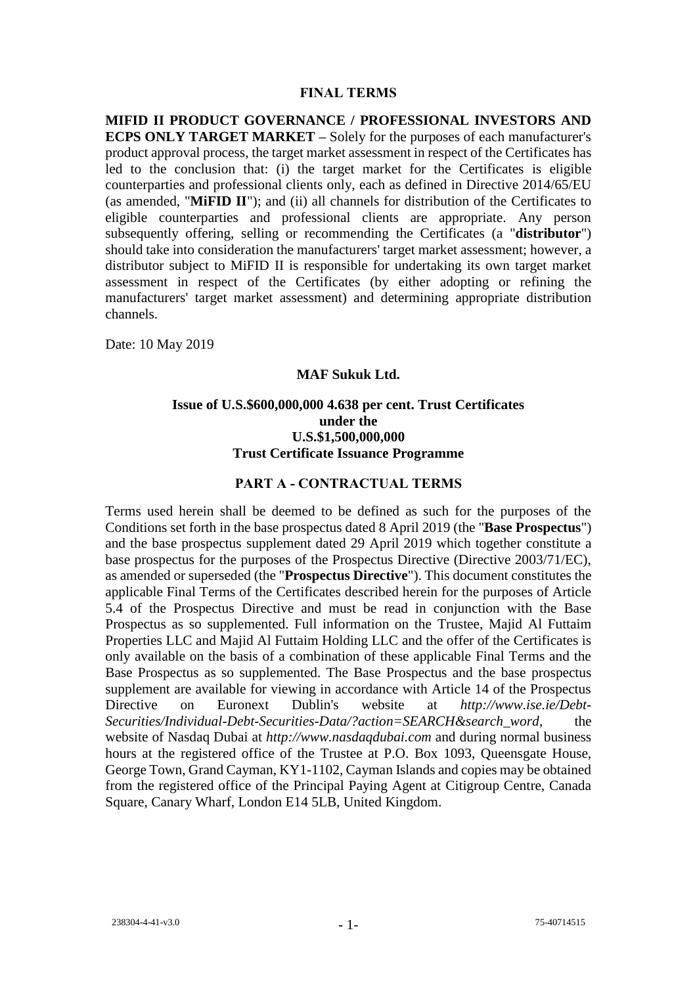#### **FINAL TERMS**

**MIFID II PRODUCT GOVERNANCE / PROFESSIONAL INVESTORS AND ECPS ONLY TARGET MARKET –** Solely for the purposes of each manufacturer's product approval process, the target market assessment in respect of the Certificates has led to the conclusion that: (i) the target market for the Certificates is eligible counterparties and professional clients only, each as defined in Directive 2014/65/EU (as amended, "**MiFID II**"); and (ii) all channels for distribution of the Certificates to eligible counterparties and professional clients are appropriate. Any person subsequently offering, selling or recommending the Certificates (a "**distributor**") should take into consideration the manufacturers' target market assessment; however, a distributor subject to MiFID II is responsible for undertaking its own target market assessment in respect of the Certificates (by either adopting or refining the manufacturers' target market assessment) and determining appropriate distribution channels.

Date: 10 May 2019

## **MAF Sukuk Ltd.**

# **Issue of U.S.\$600,000,000 4.638 per cent. Trust Certificates under the U.S.\$1,500,000,000 Trust Certificate Issuance Programme**

## **PART A - CONTRACTUAL TERMS**

Terms used herein shall be deemed to be defined as such for the purposes of the Conditions set forth in the base prospectus dated 8 April 2019 (the "**Base Prospectus**") and the base prospectus supplement dated 29 April 2019 which together constitute a base prospectus for the purposes of the Prospectus Directive (Directive 2003/71/EC), as amended or superseded (the "**Prospectus Directive**"). This document constitutes the applicable Final Terms of the Certificates described herein for the purposes of Article 5.4 of the Prospectus Directive and must be read in conjunction with the Base Prospectus as so supplemented. Full information on the Trustee, Majid Al Futtaim Properties LLC and Majid Al Futtaim Holding LLC and the offer of the Certificates is only available on the basis of a combination of these applicable Final Terms and the Base Prospectus as so supplemented. The Base Prospectus and the base prospectus supplement are available for viewing in accordance with Article 14 of the Prospectus Directive on Euronext Dublin's website at *http://www.ise.ie/Debt-Securities/Individual-Debt-Securities-Data/?action=SEARCH&search\_word*, the website of Nasdaq Dubai at *http://www.nasdaqdubai.com* and during normal business hours at the registered office of the Trustee at P.O. Box 1093, Queensgate House, George Town, Grand Cayman, KY1-1102, Cayman Islands and copies may be obtained from the registered office of the Principal Paying Agent at Citigroup Centre, Canada Square, Canary Wharf, London E14 5LB, United Kingdom.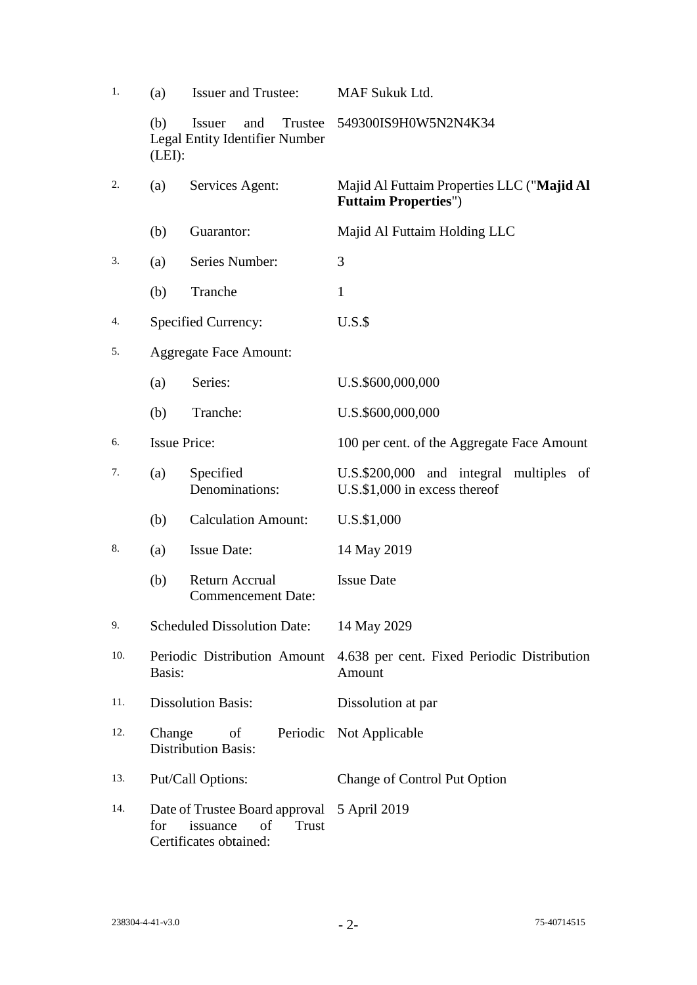| 1.  | (a)                                                                                                            | <b>Issuer and Trustee:</b>                                    | MAF Sukuk Ltd.                                                                     |
|-----|----------------------------------------------------------------------------------------------------------------|---------------------------------------------------------------|------------------------------------------------------------------------------------|
|     | (b)<br>(LEI):                                                                                                  | <b>Issuer</b><br>and<br><b>Legal Entity Identifier Number</b> | Trustee 549300IS9H0W5N2N4K34                                                       |
| 2.  | (a)                                                                                                            | Services Agent:                                               | Majid Al Futtaim Properties LLC ("Majid Al<br><b>Futtaim Properties")</b>          |
|     | (b)                                                                                                            | Guarantor:                                                    | Majid Al Futtaim Holding LLC                                                       |
| 3.  | (a)                                                                                                            | Series Number:                                                | 3                                                                                  |
|     | (b)                                                                                                            | Tranche                                                       | $\mathbf{1}$                                                                       |
| 4.  |                                                                                                                | <b>Specified Currency:</b>                                    | $U.S.\$                                                                            |
| 5.  | <b>Aggregate Face Amount:</b>                                                                                  |                                                               |                                                                                    |
|     | (a)                                                                                                            | Series:                                                       | U.S.\$600,000,000                                                                  |
|     | (b)                                                                                                            | Tranche:                                                      | U.S.\$600,000,000                                                                  |
| 6.  | <b>Issue Price:</b>                                                                                            |                                                               | 100 per cent. of the Aggregate Face Amount                                         |
| 7.  | (a)                                                                                                            | Specified<br>Denominations:                                   | $U.S.\$200,000$ and integral<br>multiples<br>of<br>U.S.\$1,000 in excess thereof   |
|     | (b)                                                                                                            | <b>Calculation Amount:</b>                                    | U.S.\$1,000                                                                        |
| 8.  | (a)                                                                                                            | <b>Issue Date:</b>                                            | 14 May 2019                                                                        |
|     | (b)                                                                                                            | <b>Return Accrual</b><br><b>Commencement Date:</b>            | <b>Issue Date</b>                                                                  |
| 9.  |                                                                                                                | <b>Scheduled Dissolution Date:</b>                            | 14 May 2029                                                                        |
| 10. | Basis:                                                                                                         |                                                               | Periodic Distribution Amount 4.638 per cent. Fixed Periodic Distribution<br>Amount |
| 11. | <b>Dissolution Basis:</b>                                                                                      |                                                               | Dissolution at par                                                                 |
| 12. | Change<br>of<br><b>Distribution Basis:</b>                                                                     |                                                               | Periodic Not Applicable                                                            |
| 13. | Put/Call Options:                                                                                              |                                                               | <b>Change of Control Put Option</b>                                                |
| 14. | Date of Trustee Board approval 5 April 2019<br>issuance<br>of<br><b>Trust</b><br>for<br>Certificates obtained: |                                                               |                                                                                    |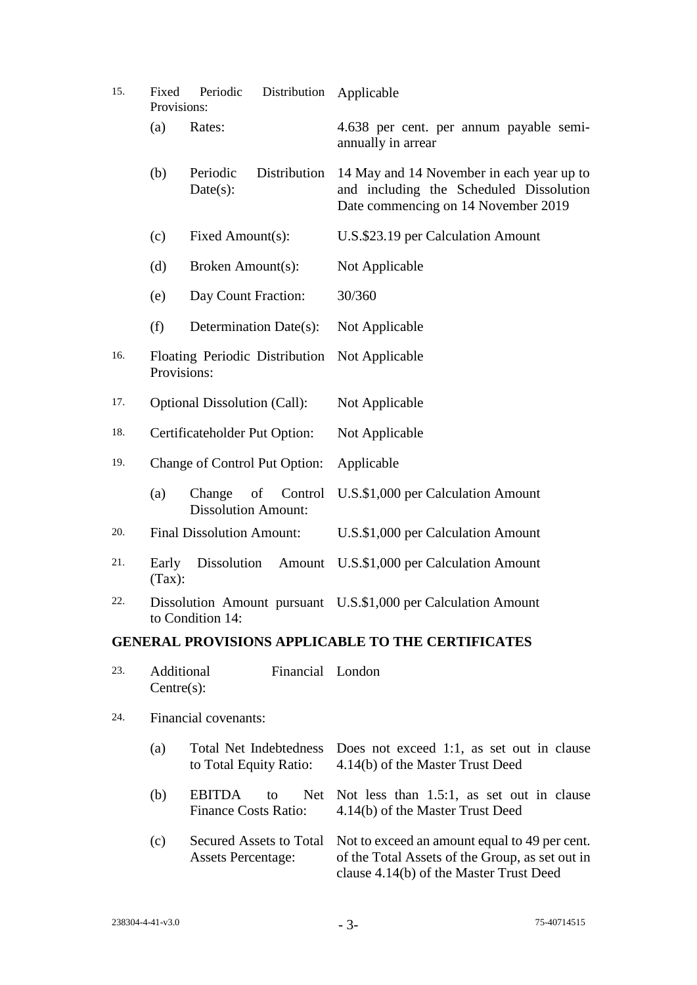| 15. | Fixed<br>Provisions:     | Distribution<br>Periodic                                    | Applicable                                                                                                                                  |
|-----|--------------------------|-------------------------------------------------------------|---------------------------------------------------------------------------------------------------------------------------------------------|
|     | (a)                      | Rates:                                                      | 4.638 per cent. per annum payable semi-<br>annually in arrear                                                                               |
|     | (b)                      | Distribution<br>Periodic<br>$Date(s)$ :                     | 14 May and 14 November in each year up to<br>and including the Scheduled Dissolution<br>Date commencing on 14 November 2019                 |
|     | (c)                      | Fixed Amount(s):                                            | U.S.\$23.19 per Calculation Amount                                                                                                          |
|     | (d)                      | Broken Amount(s):                                           | Not Applicable                                                                                                                              |
|     | (e)                      | Day Count Fraction:                                         | 30/360                                                                                                                                      |
|     | (f)                      | Determination Date(s):                                      | Not Applicable                                                                                                                              |
| 16. | Provisions:              | Floating Periodic Distribution                              | Not Applicable                                                                                                                              |
| 17. |                          | <b>Optional Dissolution (Call):</b>                         | Not Applicable                                                                                                                              |
| 18. |                          | Certificateholder Put Option:                               | Not Applicable                                                                                                                              |
| 19. |                          | Change of Control Put Option:                               | Applicable                                                                                                                                  |
|     | (a)                      | Change<br>of<br>Control<br><b>Dissolution Amount:</b>       | U.S.\$1,000 per Calculation Amount                                                                                                          |
| 20. |                          | <b>Final Dissolution Amount:</b>                            | U.S.\$1,000 per Calculation Amount                                                                                                          |
| 21. | Early<br>(Tax):          |                                                             | Dissolution Amount U.S.\$1,000 per Calculation Amount                                                                                       |
| 22. |                          | to Condition 14:                                            | Dissolution Amount pursuant U.S.\$1,000 per Calculation Amount                                                                              |
|     |                          |                                                             | <b>GENERAL PROVISIONS APPLICABLE TO THE CERTIFICATES</b>                                                                                    |
| 23. | Additional<br>Centre(s): | Financial London                                            |                                                                                                                                             |
| 24. |                          | Financial covenants:                                        |                                                                                                                                             |
|     | (a)                      | <b>Total Net Indebtedness</b><br>to Total Equity Ratio:     | Does not exceed 1:1, as set out in clause<br>4.14(b) of the Master Trust Deed                                                               |
|     | (b)                      | <b>EBITDA</b><br>Net<br>to<br><b>Finance Costs Ratio:</b>   | Not less than 1.5:1, as set out in clause<br>4.14(b) of the Master Trust Deed                                                               |
|     | (c)                      | <b>Secured Assets to Total</b><br><b>Assets Percentage:</b> | Not to exceed an amount equal to 49 per cent.<br>of the Total Assets of the Group, as set out in<br>clause 4.14(b) of the Master Trust Deed |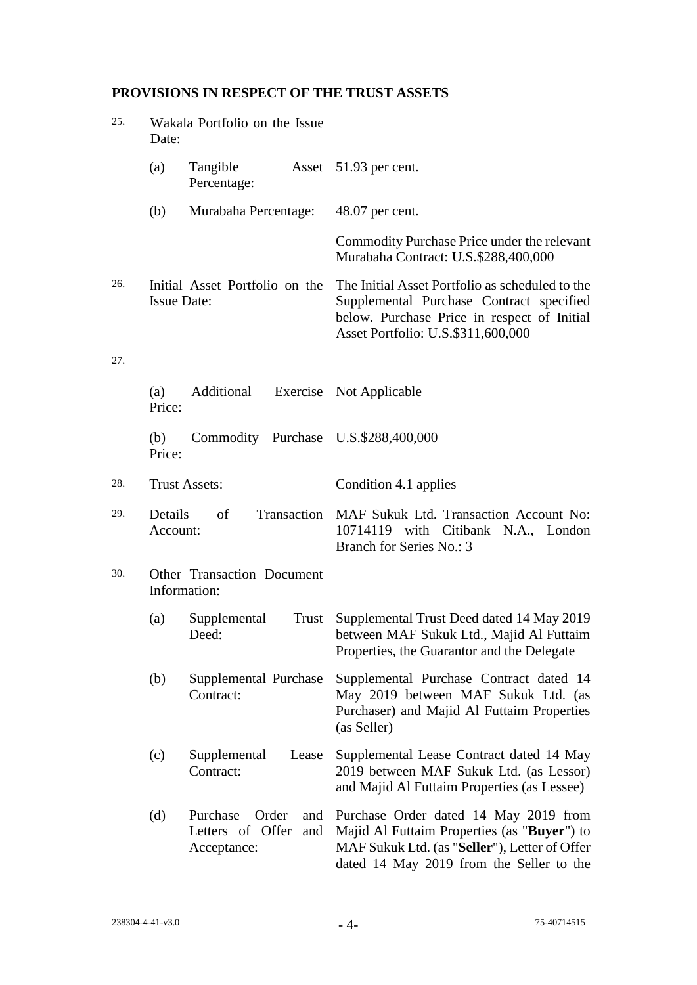# **PROVISIONS IN RESPECT OF THE TRUST ASSETS**

| 25. | Wakala Portfolio on the Issue<br>Date: |                                                                    |                                                                                                                                                                                   |
|-----|----------------------------------------|--------------------------------------------------------------------|-----------------------------------------------------------------------------------------------------------------------------------------------------------------------------------|
|     | (a)                                    | Tangible<br>Percentage:                                            | Asset 51.93 per cent.                                                                                                                                                             |
|     | (b)                                    | Murabaha Percentage:                                               | 48.07 per cent.                                                                                                                                                                   |
|     |                                        |                                                                    | Commodity Purchase Price under the relevant<br>Murabaha Contract: U.S.\$288,400,000                                                                                               |
| 26. | <b>Issue Date:</b>                     | Initial Asset Portfolio on the                                     | The Initial Asset Portfolio as scheduled to the<br>Supplemental Purchase Contract specified<br>below. Purchase Price in respect of Initial<br>Asset Portfolio: U.S.\$311,600,000  |
| 27. |                                        |                                                                    |                                                                                                                                                                                   |
|     | (a)<br>Price:                          | Additional Exercise Not Applicable                                 |                                                                                                                                                                                   |
|     | (b)<br>Price:                          | Commodity Purchase U.S.\$288,400,000                               |                                                                                                                                                                                   |
| 28. |                                        | <b>Trust Assets:</b>                                               | Condition 4.1 applies                                                                                                                                                             |
| 29. | Details<br>Account:                    | of<br>Transaction                                                  | MAF Sukuk Ltd. Transaction Account No:<br>10714119 with Citibank N.A., London<br>Branch for Series No.: 3                                                                         |
| 30. |                                        | Other Transaction Document<br>Information:                         |                                                                                                                                                                                   |
|     | (a)                                    | Supplemental<br>Deed:                                              | Trust Supplemental Trust Deed dated 14 May 2019<br>between MAF Sukuk Ltd., Majid Al Futtaim<br>Properties, the Guarantor and the Delegate                                         |
|     | (b)                                    | Supplemental Purchase<br>Contract:                                 | Supplemental Purchase Contract dated 14<br>May 2019 between MAF Sukuk Ltd. (as<br>Purchaser) and Majid Al Futtaim Properties<br>(as Seller)                                       |
|     | (c)                                    | Supplemental<br>Lease<br>Contract:                                 | Supplemental Lease Contract dated 14 May<br>2019 between MAF Sukuk Ltd. (as Lessor)<br>and Majid Al Futtaim Properties (as Lessee)                                                |
|     | (d)                                    | Purchase<br>Order<br>and<br>Letters of Offer<br>and<br>Acceptance: | Purchase Order dated 14 May 2019 from<br>Majid Al Futtaim Properties (as "Buyer") to<br>MAF Sukuk Ltd. (as "Seller"), Letter of Offer<br>dated 14 May 2019 from the Seller to the |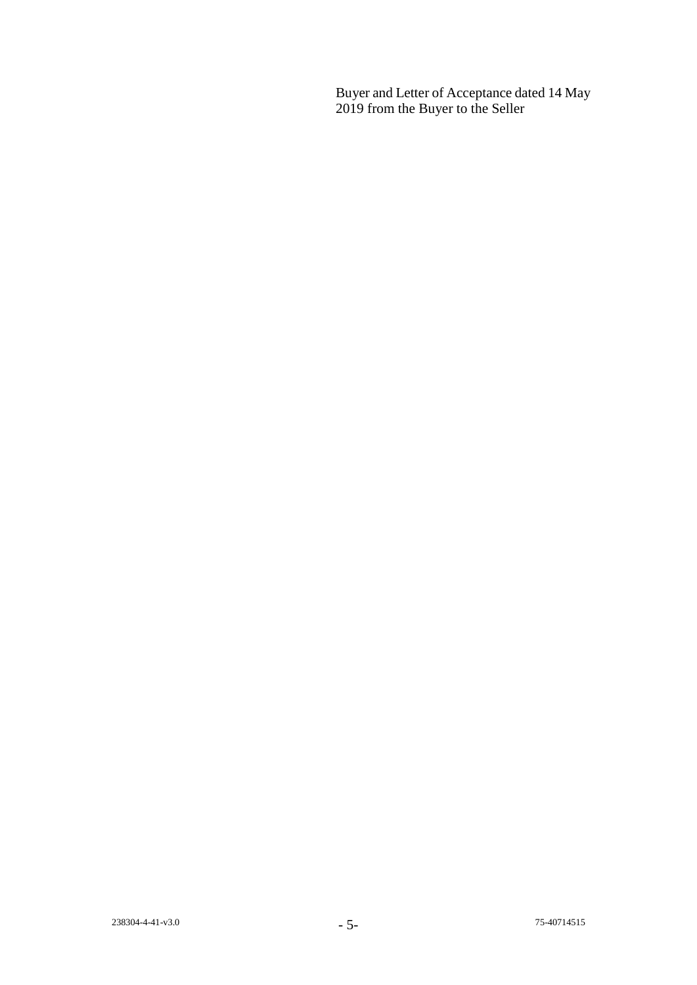Buyer and Letter of Acceptance dated 14 May 2019 from the Buyer to the Seller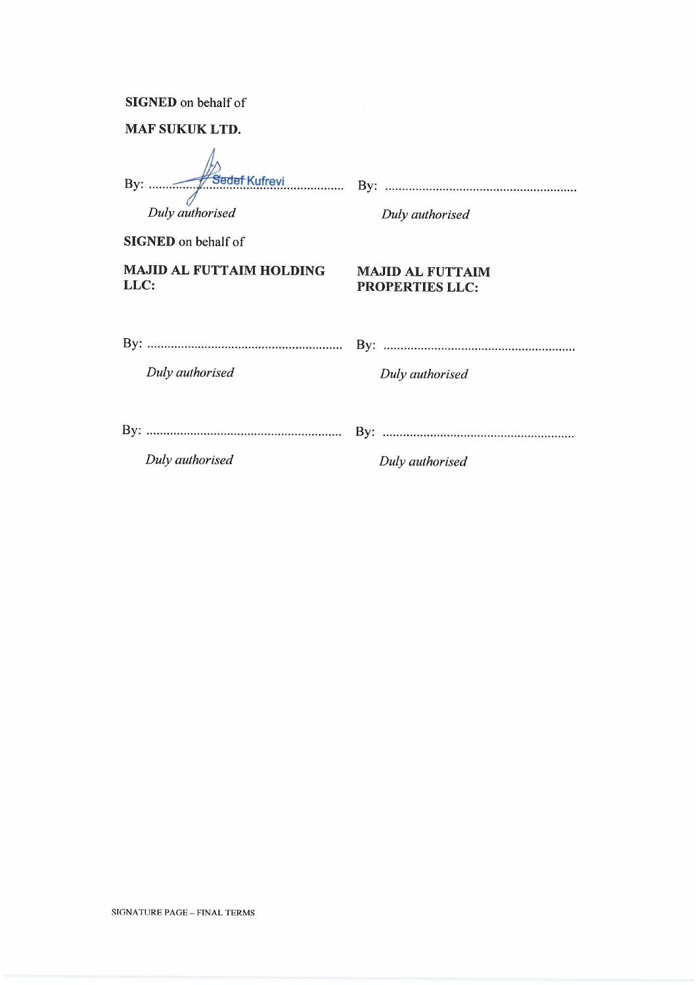**SIGNED** on behalf of

MAF SUKUK LTD.

| $\mathbf{B}v$ : | <b>Sedef Kufrevi</b> |
|-----------------|----------------------|
|                 | Duly authorised      |
|                 |                      |

Duly authorised

**SIGNED** on behalf of

# **MAJID AL FUTTAIM HOLDING** LLC:

## **MAJID AL FUTTAIM** PROPERTIES LLC:

| Duly authorised | Duly authorised |
|-----------------|-----------------|
|                 |                 |
|                 |                 |

Duly authorised

Duly authorised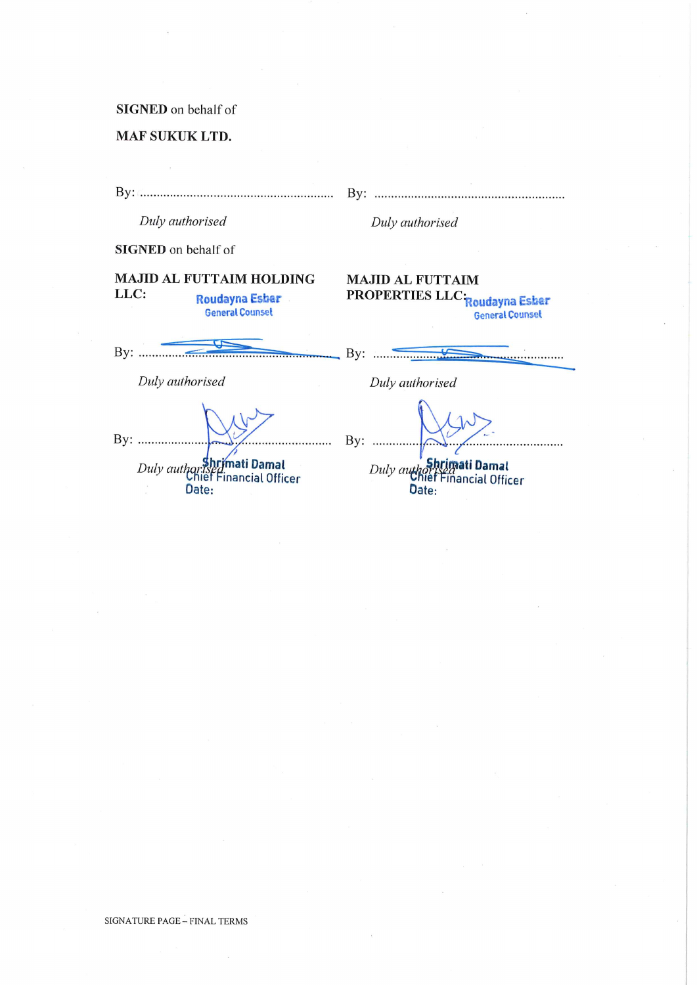SIGNED on behalf of

MAF SUKUK LTD.

| By:  |                                                                                    | By:                                                                                 |
|------|------------------------------------------------------------------------------------|-------------------------------------------------------------------------------------|
|      | Duly authorised                                                                    | Duly authorised                                                                     |
|      | <b>SIGNED</b> on behalf of                                                         |                                                                                     |
| LLC: | <b>MAJID AL FUTTAIM HOLDING</b><br><b>Roudayna Esber</b><br><b>General Counset</b> | <b>MAJID AL FUTTAIM</b><br>PROPERTIES LLC: Roudayna Esber<br><b>General Counset</b> |
| By:  | $\overline{\mathbf{By:}}$<br>Duly authorised                                       |                                                                                     |
| By:  | rimati Damal<br>Duly authqu<br>nancial Officer<br>Date:                            | Duly authorised<br>By:<br>Shrimati Damal<br>Duly aut<br>nancial Officer<br>Date:    |

SIGNATURE PAGE - FINAL TERMS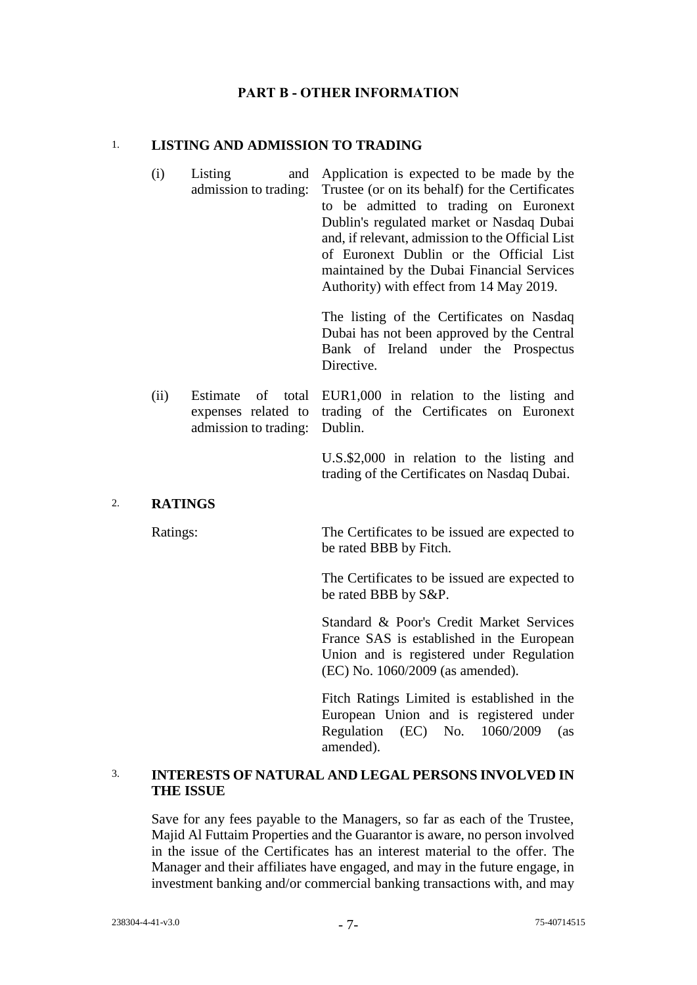# **PART B - OTHER INFORMATION**

#### 1. **LISTING AND ADMISSION TO TRADING**

(i) Listing and admission to trading: Application is expected to be made by the Trustee (or on its behalf) for the Certificates to be admitted to trading on Euronext Dublin's regulated market or Nasdaq Dubai and, if relevant, admission to the Official List of Euronext Dublin or the Official List maintained by the Dubai Financial Services Authority) with effect from 14 May 2019.

> The listing of the Certificates on Nasdaq Dubai has not been approved by the Central Bank of Ireland under the Prospectus Directive.

(ii) Estimate of total EUR1,000 in relation to the listing and expenses related to trading of the Certificates on Euronext admission to trading: Dublin.

> U.S.\$2,000 in relation to the listing and trading of the Certificates on Nasdaq Dubai.

#### 2. **RATINGS**

Ratings: The Certificates to be issued are expected to be rated BBB by Fitch.

> The Certificates to be issued are expected to be rated BBB by S&P.

> Standard & Poor's Credit Market Services France SAS is established in the European Union and is registered under Regulation (EC) No. 1060/2009 (as amended).

> Fitch Ratings Limited is established in the European Union and is registered under Regulation (EC) No. 1060/2009 (as amended).

# 3. **INTERESTS OF NATURAL AND LEGAL PERSONS INVOLVED IN THE ISSUE**

Save for any fees payable to the Managers, so far as each of the Trustee, Majid Al Futtaim Properties and the Guarantor is aware, no person involved in the issue of the Certificates has an interest material to the offer. The Manager and their affiliates have engaged, and may in the future engage, in investment banking and/or commercial banking transactions with, and may